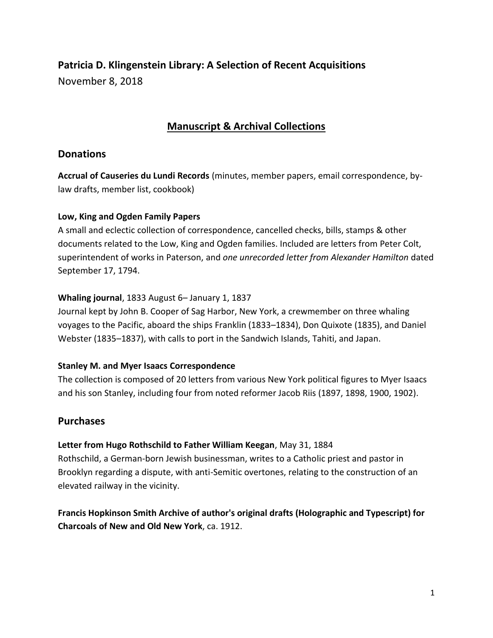# **Patricia D. Klingenstein Library: A Selection of Recent Acquisitions** November 8, 2018

# **Manuscript & Archival Collections**

## **Donations**

**Accrual of Causeries du Lundi Records** (minutes, member papers, email correspondence, bylaw drafts, member list, cookbook)

#### **Low, King and Ogden Family Papers**

A small and eclectic collection of correspondence, cancelled checks, bills, stamps & other documents related to the Low, King and Ogden families. Included are letters from Peter Colt, superintendent of works in Paterson, and *one unrecorded letter from Alexander Hamilton* dated September 17, 1794.

#### **Whaling journal**, 1833 August 6– January 1, 1837

Journal kept by John B. Cooper of Sag Harbor, New York, a crewmember on three whaling voyages to the Pacific, aboard the ships Franklin (1833–1834), Don Quixote (1835), and Daniel Webster (1835–1837), with calls to port in the Sandwich Islands, Tahiti, and Japan.

#### **Stanley M. and Myer Isaacs Correspondence**

The collection is composed of 20 letters from various New York political figures to Myer Isaacs and his son Stanley, including four from noted reformer Jacob Riis (1897, 1898, 1900, 1902).

## **Purchases**

## **Letter from Hugo Rothschild to Father William Keegan**, May 31, 1884

Rothschild, a German-born Jewish businessman, writes to a Catholic priest and pastor in Brooklyn regarding a dispute, with anti-Semitic overtones, relating to the construction of an elevated railway in the vicinity.

**Francis Hopkinson Smith Archive of author's original drafts (Holographic and Typescript) for Charcoals of New and Old New York**, ca. 1912.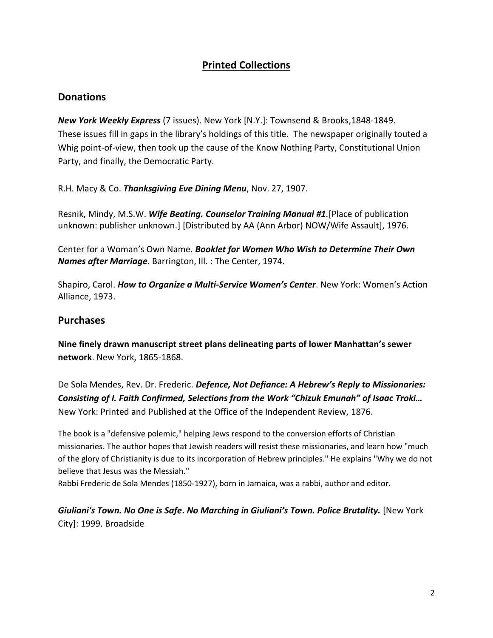# **Printed Collections**

#### **Donations**

*New York Weekly Express* (7 issues). New York [N.Y.]: Townsend & Brooks,1848-1849. These issues fill in gaps in the library's holdings of this title. The newspaper originally touted a Whig point-of-view, then took up the cause of the Know Nothing Party, Constitutional Union Party, and finally, the Democratic Party.

R.H. Macy & Co. *Thanksgiving Eve Dining Menu*, Nov. 27, 1907.

Resnik, Mindy, M.S.W. *Wife Beating. Counselor Training Manual #1.*[Place of publication unknown: publisher unknown.] [Distributed by AA (Ann Arbor) NOW/Wife Assault], 1976.

Center for a Woman's Own Name. *Booklet for Women Who Wish to Determine Their Own Names after Marriage*. Barrington, Ill. : The Center, 1974.

Shapiro, Carol. *How to Organize a Multi-Service Women's Center*. New York: Women's Action Alliance, 1973.

#### **Purchases**

**Nine finely drawn manuscript street plans delineating parts of lower Manhattan's sewer network**. New York, 1865-1868.

De Sola Mendes, Rev. Dr. Frederic. *Defence, Not Defiance: A Hebrew's Reply to Missionaries: Consisting of I. Faith Confirmed, Selections from the Work "Chizuk Emunah" of Isaac Troki…* New York: Printed and Published at the Office of the Independent Review, 1876.

The book is a "defensive polemic," helping Jews respond to the conversion efforts of Christian missionaries. The author hopes that Jewish readers will resist these missionaries, and learn how "much of the glory of Christianity is due to its incorporation of Hebrew principles." He explains "Why we do not believe that Jesus was the Messiah."

Rabbi Frederic de Sola Mendes (1850-1927), born in Jamaica, was a rabbi, author and editor.

*Giuliani's Town. No One is Safe***.** *No Marching in Giuliani's Town. Police Brutality.* [New York City]: 1999. Broadside